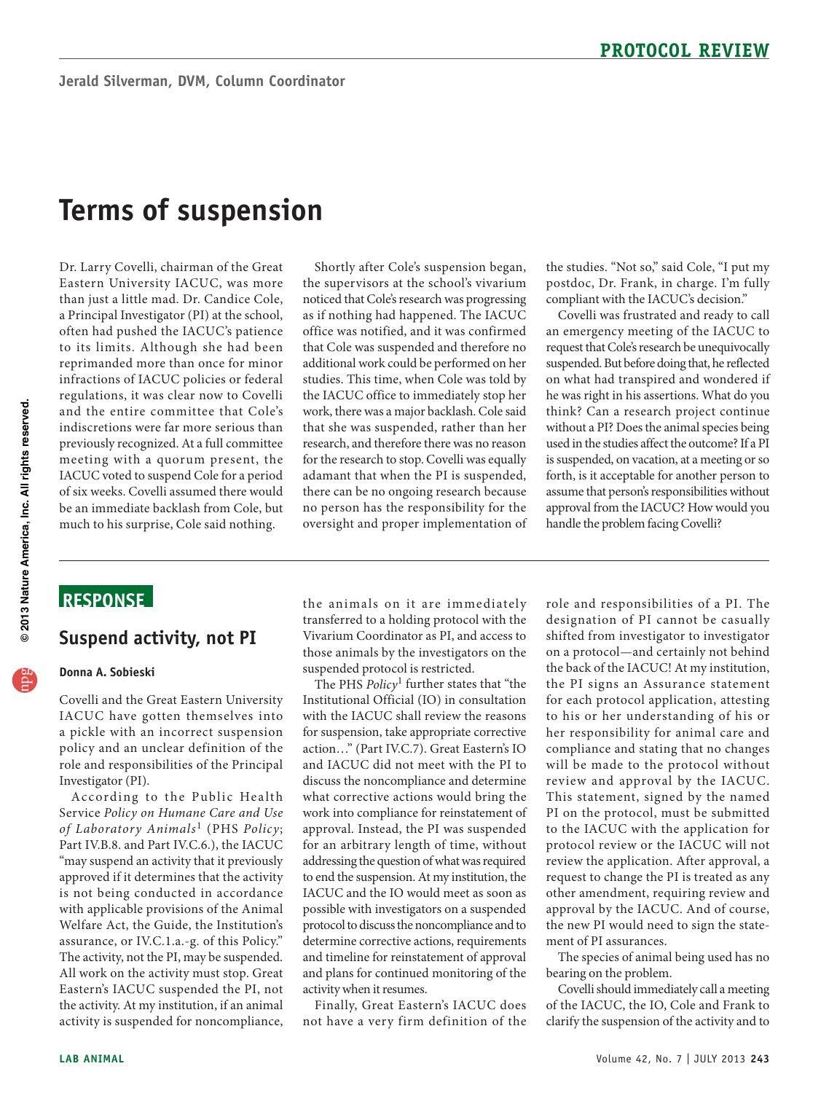# **Terms of suspension**

 indiscretions were far more serious than previously recognized. At a full committee Dr. Larry Covelli, chairman of the Great Eastern University IACUC, was more than just a little mad. Dr. Candice Cole, a Principal Investigator (PI) at the school, often had pushed the IACUC's patience to its limits. Although she had been reprimanded more than once for minor infractions of IACUC policies or federal regulations, it was clear now to Covelli and the entire committee that Cole's meeting with a quorum present, the IACUC voted to suspend Cole for a period of six weeks. Covelli assumed there would be an immediate backlash from Cole, but much to his surprise, Cole said nothing.

 the super visors at the school's vivarium noticed that Cole's research was progressing as if nothing had happened. The IACUC office was notified, and it was confirmed adamant that when the PI is suspended, Shortly after Cole's suspension began, that Cole was suspended and therefore no additional work could be performed on her studies. This time, when Cole was told by the IACUC office to immediately stop her work, there was a major backlash. Cole said that she was suspended, rather than her research, and therefore there was no reason for the research to stop. Covelli was equally there can be no ongoing research because no person has the responsibility for the oversight and proper implementation of

the studies. "Not so," said Cole, "I put my postdoc, Dr. Frank, in charge. I'm fully compliant with the IACUC's decision."

 suspended. But before doing that, he reflected on what had transpired and wondered if assume that person's responsibilities without Covelli was frustrated and ready to call an emergency meeting of the IACUC to request that Cole's research be unequivocally he was right in his assertions. What do you think? Can a research project continue without a PI? Does the animal species being used in the studies affect the outcome? If a PI is suspended, on vacation, at a meeting or so forth, is it acceptable for another person to approval from the IACUC? How would you handle the problem facing Covelli?

### **ReSponSe**

### **Suspend activity, not pI**

### **Donna A. Sobieski**

IACUC have gotten themselves into Covelli and the Great Eastern University a pickle with an incorrect suspension policy and an unclear definition of the role and responsibilities of the Principal Investigator (PI).

 Part IV.B.8. and Part IV.C.6.), the IACUC approved if it determines that the activity with applicable provisions of the Animal The activity, not the PI, may be suspended. the activity. At my institution, if an animal activity is suspended for noncompliance, According to the Public Health Ser vice *Policy on Humane Care and Use of Laboratory Animals<sup>1</sup> (PHS Policy;* "may suspend an activity that it previously is not being conducted in accordance Welfare Act, the Guide, the Institution's assurance, or IV.C.1.a.-g. of this Policy." All work on the activity must stop. Great Eastern's IACUC suspended the PI, not

 transferred to a holding protocol with the the animals on it are immediately Vivarium Coordinator as PI, and access to those animals by the investigators on the suspended protocol is restricted.

 Institutional Official (IO) in consultation with the IACUC shall review the reasons for suspension, take appropriate corrective discuss the noncompliance and determine approval. Instead, the PI was suspended for an arbitrary length of time, without and timeline for reinstatement of approval The PHS *Policy*1 further states that "the action…" (Part IV.C.7). Great Eastern's IO and IACUC did not meet with the PI to what corrective actions would bring the work into compliance for reinstatement of addressing the question of what was required to end the suspension. At my institution, the IACUC and the IO would meet as soon as possible with investigators on a suspended protocol to discuss the noncompliance and to determine corrective actions, requirements and plans for continued monitoring of the activity when it resumes.

Finally, Great Eastern's IACUC does not have a very firm definition of the

 shifted from investigator to investigator the back of the IACUC! At my institution, for e ach protocol application, attesting her responsibility for animal care and compliance and stating that no changes PI on the protocol, must be submitted review the application. After approval, a role and responsibilities of a PI. The designation of PI cannot be casually on a protocol—and certainly not behind the PI signs an Assurance statement to his or her understanding of his or will be made to the protocol without review and approval by the IACUC. This statement, signed by the named to the IACUC with the application for protocol review or the IACUC will not request to change the PI is treated as any other amendment, requiring review and approval by the IACUC. And of course, the new PI would need to sign the statement of PI assurances.

The species of animal being used has no bearing on the problem.

 Covelli should immediately call a meeting of the IACUC, the IO, Cole and Frank to clarify the suspension of the activity and to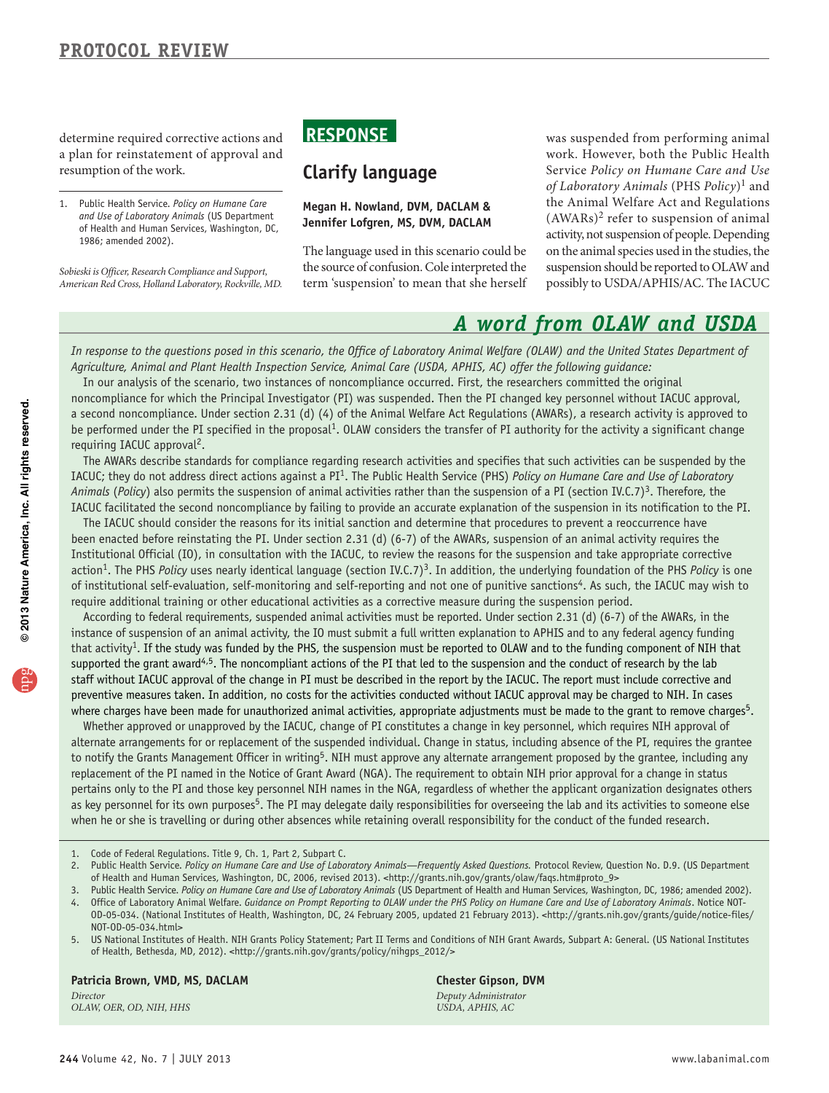determine required corrective actions and **ReSponSe** was suspended from performing animal a plan for reinstatement of approval and work. However, both the Public Health

Sobieski is Officer, Research Compliance and Support,

the source of confusion. Cole interpreted the suspension should be reported to OLAW and *Sobieski is Officer, Research Compliance and Support,* 

 $(AWARS)^2$  refer to suspension of animal *American Red Cross, Holland Laboratory, Rockville, MD.* term 'suspension' to mean that she herself possibly to USDA/APHIS/AC. The IACUC resumption of the work. **Clarify language** Service *Policy on Humane Care and Use of Laboratory Animals* (PHS *Policy*)1 and 1. Public Health Service. *Policy on Humane Care* **Megan H. Nowland, DVM, DACLAM &** the Animal Welfare Act and Regulations and Use of Laboratory Animals (US Department **Ionnifor Lofaron MC DVM, DACLAM (AWAR**s)<sup>2</sup> refer to and use of Laboratory Ammats (as bepartment<br>of Health and Human Services, Washington, DC,<br>1986; amended 2002).<br>The language used in this scenario could be on the animal species used in the studies, the on the animal species used in the studies, the

## *A word from OLAW and USDA*

*In response to the questions posed in this scenario, the Office of Laboratory Animal Welfare (OLAW) and the United States Department of Agriculture, Animal and Plant Health Inspection Service, Animal Care (USDA, APHIS, AC) offer the following guidance:* 

In our analysis of the scenario, two instances of noncompliance occurred. First, the researchers committed the original noncompliance for which the Principal Investigator (PI) was suspended. Then the PI changed key personnel without IACUC approval, a second noncompliance. Under section 2.31 (d) (4) of the Animal Welfare Act Regulations (AWARs), a research activity is approved to be performed under the PI specified in the proposal<sup>1</sup>. OLAW considers the transfer of PI authority for the activity a significant change requiring IACUC approval<sup>2</sup>.

The AWARs describe standards for compliance regarding research activities and specifies that such activities can be suspended by the IACUC; they do not address direct actions against a PI1. The Public Health Service (PHS) *Policy on Humane Care and Use of Laboratory Animals* (*Policy*) also permits the suspension of animal activities rather than the suspension of a PI (section IV.C.7)3. Therefore, the IACUC facilitated the second noncompliance by failing to provide an accurate explanation of the suspension in its notification to the PI.

The IACUC should consider the reasons for its initial sanction and determine that procedures to prevent a reoccurrence have been enacted before reinstating the PI. Under section 2.31 (d) (6-7) of the AWARs, suspension of an animal activity requires the Institutional Official (IO), in consultation with the IACUC, to review the reasons for the suspension and take appropriate corrective action<sup>1</sup>. The PHS *Policy* uses nearly identical language (section IV.C.7)<sup>3</sup>. In addition, the underlying foundation of the PHS *Policy* is one of institutional self-evaluation, self-monitoring and self-reporting and not one of punitive sanctions<sup>4</sup>. As such, the IACUC may wish to require additional training or other educational activities as a corrective measure during the suspension period.

According to federal requirements, suspended animal activities must be reported. Under section 2.31 (d) (6-7) of the AWARs, in the instance of suspension of an animal activity, the IO must submit a full written explanation to APHIS and to any federal agency funding that activity<sup>1</sup>. If the study was funded by the PHS, the suspension must be reported to OLAW and to the funding component of NIH that supported the grant award<sup>4,5</sup>. The noncompliant actions of the PI that led to the suspension and the conduct of research by the lab staff without IACUC approval of the change in PI must be described in the report by the IACUC. The report must include corrective and preventive measures taken. In addition, no costs for the activities conducted without IACUC approval may be charged to NIH. In cases where charges have been made for unauthorized animal activities, appropriate adjustments must be made to the grant to remove charges<sup>5</sup>.

Whether approved or unapproved by the IACUC, change of PI constitutes a change in key personnel, which requires NIH approval of alternate arrangements for or replacement of the suspended individual. Change in status, including absence of the PI, requires the grantee to notify the Grants Management Officer in writing<sup>5</sup>. NIH must approve any alternate arrangement proposed by the grantee, including any replacement of the PI named in the Notice of Grant Award (NGA). The requirement to obtain NIH prior approval for a change in status pertains only to the PI and those key personnel NIH names in the NGA, regardless of whether the applicant organization designates others as key personnel for its own purposes<sup>5</sup>. The PI may delegate daily responsibilities for overseeing the lab and its activities to someone else when he or she is travelling or during other absences while retaining overall responsibility for the conduct of the funded research.

**Patricia Brown, VMD, MS, DACLAM Chester Gipson, DVM** 

*OLAW, OER, OD, NIH, HHS* 

*Director Deputy Administrator* 

<sup>1.</sup> Code of Federal Regulations. Title 9, Ch. 1, Part 2, Subpart C.

<sup>2.</sup> Public Health Service. Policy on Humane Care and Use of Laboratory Animals—Frequently Asked Questions. Protocol Review, Question No. D.9. (US Department of Health and Human Services, Washington, DC, 2006, revised 2013). <http://grants.nih.gov/grants/olaw/faqs.htm#proto\_9>

<sup>3.</sup> Public Health Service. Policy on Humane Care and Use of Laboratory Animals (US Department of Health and Human Services, Washington, DC, 1986; amended 2002). 4. Office of Laboratory Animal Welfare. *Guidance on Prompt Reporting to OLAW under the PHS Policy on Humane Care and Use of Laboratory Animals*. Notice NOT-

OD-05-034. (National Institutes of Health, Washington, DC, 24 February 2005, updated 21 February 2013). <http://grants.nih.gov/grants/guide/notice-files/ NOT-OD-05-034.html>

<sup>5.</sup> US National Institutes of Health. NIH Grants Policy Statement; Part II Terms and Conditions of NIH Grant Awards, Subpart A: General. (US National Institutes of Health, Bethesda, MD, 2012). <http://grants.nih.gov/grants/policy/nihgps\_2012/>